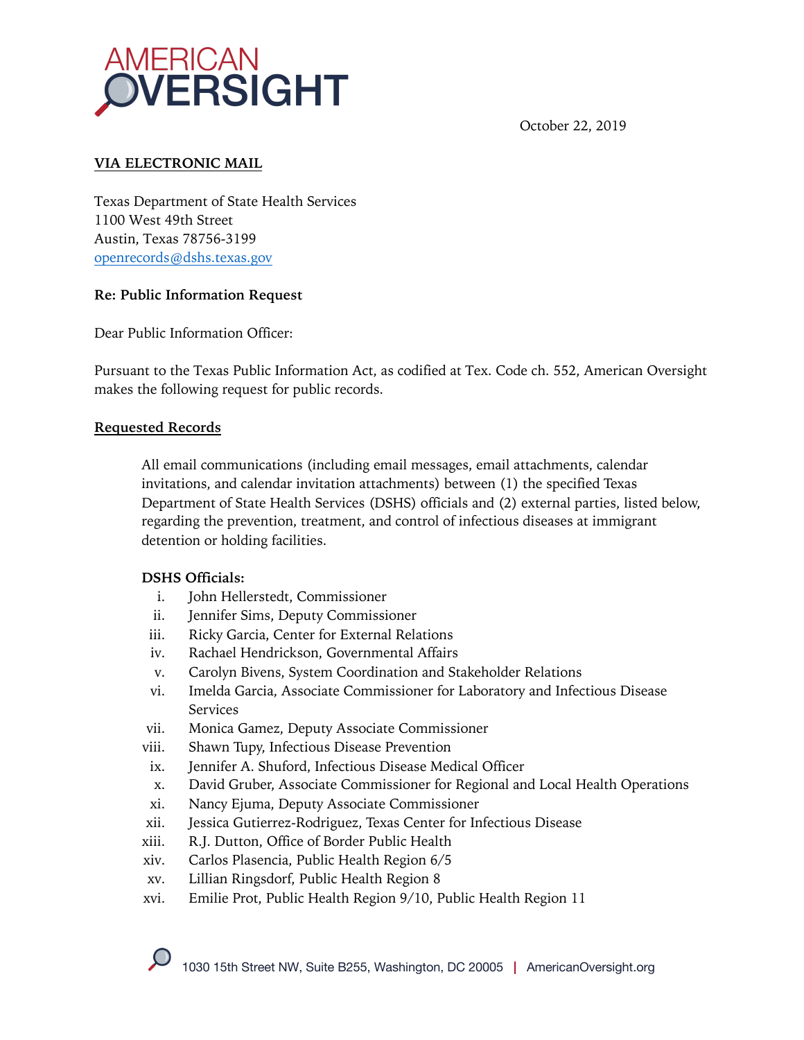

October 22, 2019

## **VIA ELECTRONIC MAIL**

Texas Department of State Health Services 1100 West 49th Street Austin, Texas 78756-3199 openrecords@dshs.texas.gov

#### **Re: Public Information Request**

Dear Public Information Officer:

Pursuant to the Texas Public Information Act, as codified at Tex. Code ch. 552, American Oversight makes the following request for public records.

#### **Requested Records**

All email communications (including email messages, email attachments, calendar invitations, and calendar invitation attachments) between (1) the specified Texas Department of State Health Services (DSHS) officials and (2) external parties, listed below, regarding the prevention, treatment, and control of infectious diseases at immigrant detention or holding facilities.

### **DSHS Officials:**

- i. John Hellerstedt, Commissioner
- ii. Jennifer Sims, Deputy Commissioner
- iii. Ricky Garcia, Center for External Relations
- iv. Rachael Hendrickson, Governmental Affairs
- v. Carolyn Bivens, System Coordination and Stakeholder Relations
- vi. Imelda Garcia, Associate Commissioner for Laboratory and Infectious Disease Services
- vii. Monica Gamez, Deputy Associate Commissioner
- viii. Shawn Tupy, Infectious Disease Prevention
- ix. Jennifer A. Shuford, Infectious Disease Medical Officer
- x. David Gruber, Associate Commissioner for Regional and Local Health Operations
- xi. Nancy Ejuma, Deputy Associate Commissioner
- xii. Jessica Gutierrez-Rodriguez, Texas Center for Infectious Disease
- xiii. R.J. Dutton, Office of Border Public Health
- xiv. Carlos Plasencia, Public Health Region 6/5
- xv. Lillian Ringsdorf, Public Health Region 8
- xvi. Emilie Prot, Public Health Region 9/10, Public Health Region 11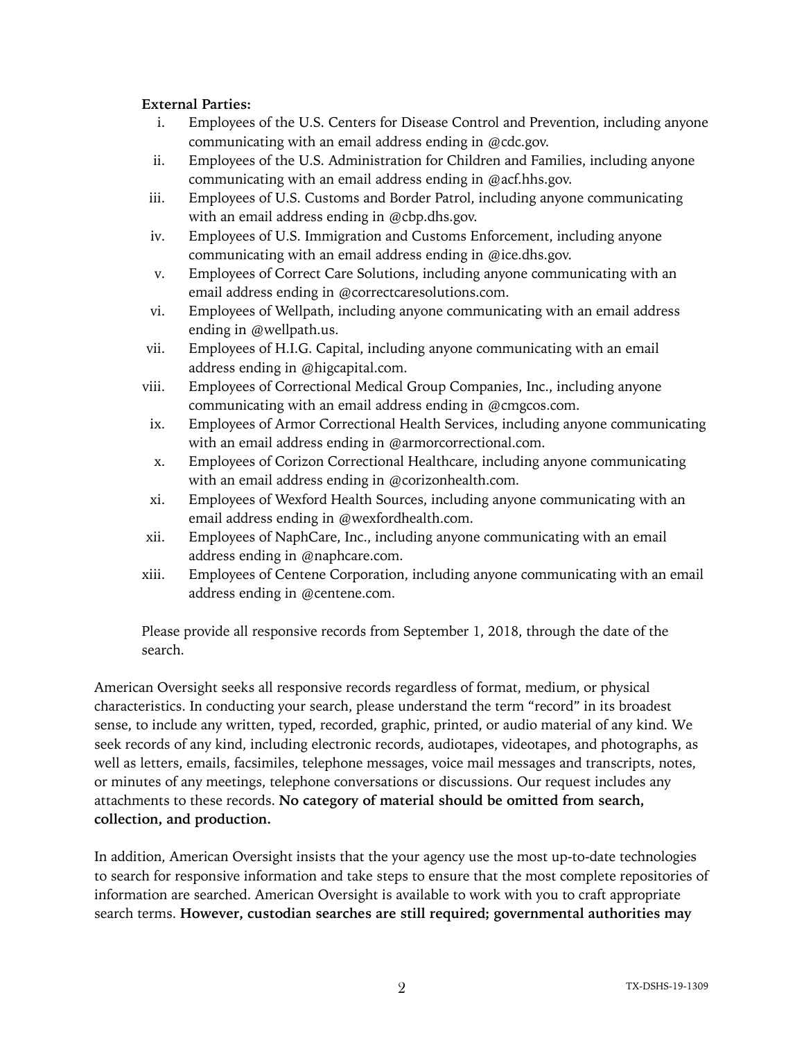### **External Parties:**

- i. Employees of the U.S. Centers for Disease Control and Prevention, including anyone communicating with an email address ending in @cdc.gov.
- ii. Employees of the U.S. Administration for Children and Families, including anyone communicating with an email address ending in @acf.hhs.gov.
- iii. Employees of U.S. Customs and Border Patrol, including anyone communicating with an email address ending in @cbp.dhs.gov.
- iv. Employees of U.S. Immigration and Customs Enforcement, including anyone communicating with an email address ending in @ice.dhs.gov.
- v. Employees of Correct Care Solutions, including anyone communicating with an email address ending in @correctcaresolutions.com.
- vi. Employees of Wellpath, including anyone communicating with an email address ending in @wellpath.us.
- vii. Employees of H.I.G. Capital, including anyone communicating with an email address ending in @higcapital.com.
- viii. Employees of Correctional Medical Group Companies, Inc., including anyone communicating with an email address ending in @cmgcos.com.
- ix. Employees of Armor Correctional Health Services, including anyone communicating with an email address ending in @armorcorrectional.com.
- x. Employees of Corizon Correctional Healthcare, including anyone communicating with an email address ending in @corizonhealth.com.
- xi. Employees of Wexford Health Sources, including anyone communicating with an email address ending in @wexfordhealth.com.
- xii. Employees of NaphCare, Inc., including anyone communicating with an email address ending in @naphcare.com.
- xiii. Employees of Centene Corporation, including anyone communicating with an email address ending in @centene.com.

Please provide all responsive records from September 1, 2018, through the date of the search.

American Oversight seeks all responsive records regardless of format, medium, or physical characteristics. In conducting your search, please understand the term "record" in its broadest sense, to include any written, typed, recorded, graphic, printed, or audio material of any kind. We seek records of any kind, including electronic records, audiotapes, videotapes, and photographs, as well as letters, emails, facsimiles, telephone messages, voice mail messages and transcripts, notes, or minutes of any meetings, telephone conversations or discussions. Our request includes any attachments to these records. **No category of material should be omitted from search, collection, and production.**

In addition, American Oversight insists that the your agency use the most up-to-date technologies to search for responsive information and take steps to ensure that the most complete repositories of information are searched. American Oversight is available to work with you to craft appropriate search terms. **However, custodian searches are still required; governmental authorities may**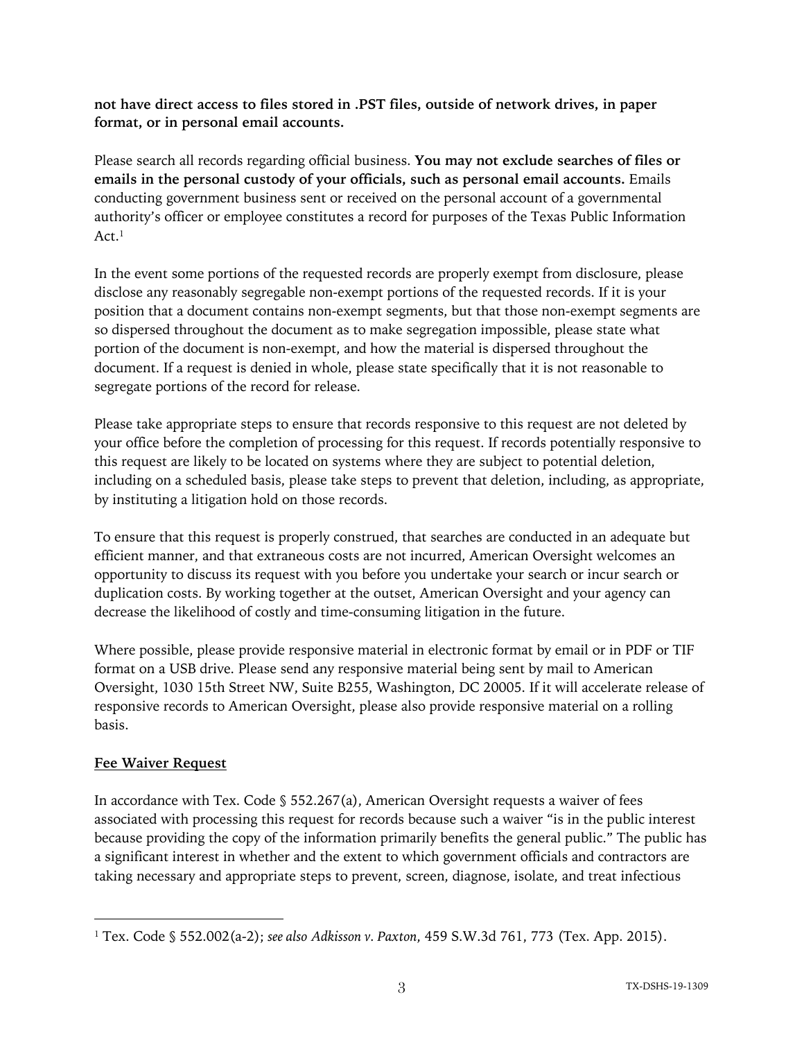**not have direct access to files stored in .PST files, outside of network drives, in paper format, or in personal email accounts.**

Please search all records regarding official business. **You may not exclude searches of files or emails in the personal custody of your officials, such as personal email accounts.** Emails conducting government business sent or received on the personal account of a governmental authority's officer or employee constitutes a record for purposes of the Texas Public Information  $Act<sup>1</sup>$ 

In the event some portions of the requested records are properly exempt from disclosure, please disclose any reasonably segregable non-exempt portions of the requested records. If it is your position that a document contains non-exempt segments, but that those non-exempt segments are so dispersed throughout the document as to make segregation impossible, please state what portion of the document is non-exempt, and how the material is dispersed throughout the document. If a request is denied in whole, please state specifically that it is not reasonable to segregate portions of the record for release.

Please take appropriate steps to ensure that records responsive to this request are not deleted by your office before the completion of processing for this request. If records potentially responsive to this request are likely to be located on systems where they are subject to potential deletion, including on a scheduled basis, please take steps to prevent that deletion, including, as appropriate, by instituting a litigation hold on those records.

To ensure that this request is properly construed, that searches are conducted in an adequate but efficient manner, and that extraneous costs are not incurred, American Oversight welcomes an opportunity to discuss its request with you before you undertake your search or incur search or duplication costs. By working together at the outset, American Oversight and your agency can decrease the likelihood of costly and time-consuming litigation in the future.

Where possible, please provide responsive material in electronic format by email or in PDF or TIF format on a USB drive. Please send any responsive material being sent by mail to American Oversight, 1030 15th Street NW, Suite B255, Washington, DC 20005. If it will accelerate release of responsive records to American Oversight, please also provide responsive material on a rolling basis.

# **Fee Waiver Request**

In accordance with Tex. Code § 552.267(a), American Oversight requests a waiver of fees associated with processing this request for records because such a waiver "is in the public interest because providing the copy of the information primarily benefits the general public." The public has a significant interest in whether and the extent to which government officials and contractors are taking necessary and appropriate steps to prevent, screen, diagnose, isolate, and treat infectious

<sup>1</sup> Tex. Code § 552.002(a-2); *see also Adkisson v. Paxton*, 459 S.W.3d 761, 773 (Tex. App. 2015).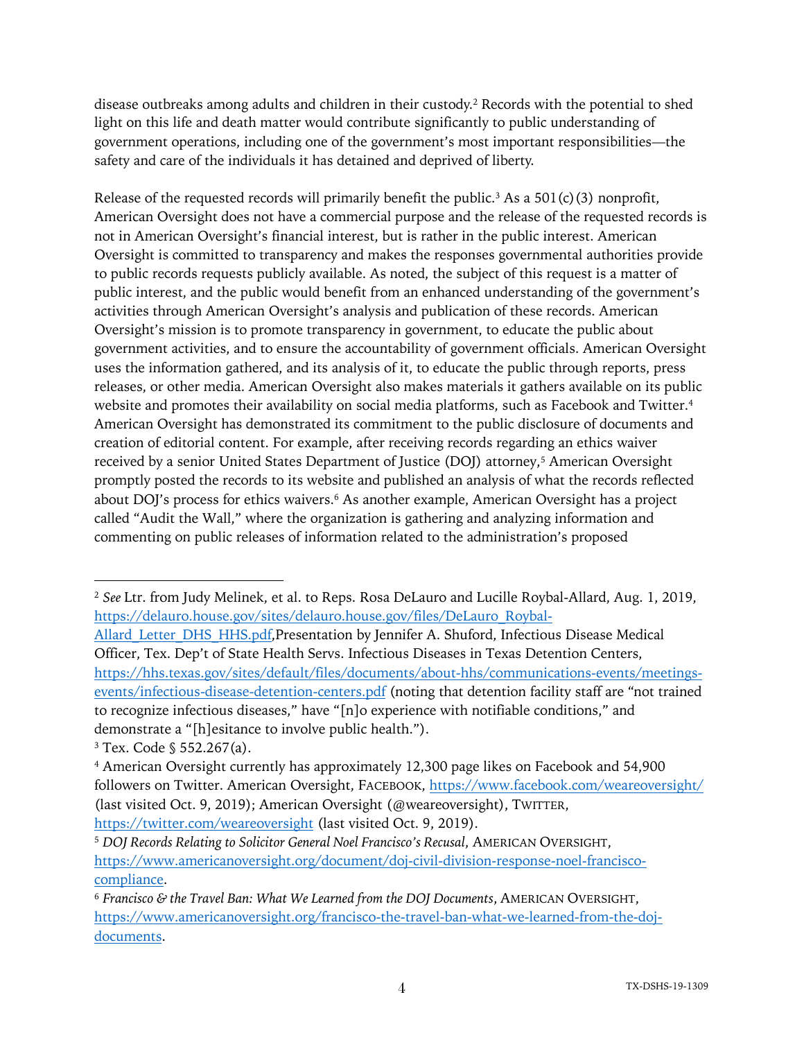disease outbreaks among adults and children in their custody.2 Records with the potential to shed light on this life and death matter would contribute significantly to public understanding of government operations, including one of the government's most important responsibilities—the safety and care of the individuals it has detained and deprived of liberty.

Release of the requested records will primarily benefit the public.<sup>3</sup> As a 501(c)(3) nonprofit, American Oversight does not have a commercial purpose and the release of the requested records is not in American Oversight's financial interest, but is rather in the public interest. American Oversight is committed to transparency and makes the responses governmental authorities provide to public records requests publicly available. As noted, the subject of this request is a matter of public interest, and the public would benefit from an enhanced understanding of the government's activities through American Oversight's analysis and publication of these records. American Oversight's mission is to promote transparency in government, to educate the public about government activities, and to ensure the accountability of government officials. American Oversight uses the information gathered, and its analysis of it, to educate the public through reports, press releases, or other media. American Oversight also makes materials it gathers available on its public website and promotes their availability on social media platforms, such as Facebook and Twitter.<sup>4</sup> American Oversight has demonstrated its commitment to the public disclosure of documents and creation of editorial content. For example, after receiving records regarding an ethics waiver received by a senior United States Department of Justice (DOJ) attorney,<sup>5</sup> American Oversight promptly posted the records to its website and published an analysis of what the records reflected about DOJ's process for ethics waivers.<sup>6</sup> As another example, American Oversight has a project called "Audit the Wall," where the organization is gathering and analyzing information and commenting on public releases of information related to the administration's proposed

Allard Letter DHS HHS.pdf,Presentation by Jennifer A. Shuford, Infectious Disease Medical Officer, Tex. Dep't of State Health Servs. Infectious Diseases in Texas Detention Centers, https://hhs.texas.gov/sites/default/files/documents/about-hhs/communications-events/meetingsevents/infectious-disease-detention-centers.pdf (noting that detention facility staff are "not trained to recognize infectious diseases," have "[n]o experience with notifiable conditions," and demonstrate a "[h]esitance to involve public health.").

<sup>2</sup> *See* Ltr. from Judy Melinek, et al. to Reps. Rosa DeLauro and Lucille Roybal-Allard, Aug. 1, 2019, https://delauro.house.gov/sites/delauro.house.gov/files/DeLauro\_Roybal-

<sup>3</sup> Tex. Code § 552.267(a).

<sup>4</sup> American Oversight currently has approximately 12,300 page likes on Facebook and 54,900 followers on Twitter. American Oversight, FACEBOOK, https://www.facebook.com/weareoversight/ (last visited Oct. 9, 2019); American Oversight (@weareoversight), TWITTER, https://twitter.com/weareoversight (last visited Oct. 9, 2019).

<sup>5</sup> *DOJ Records Relating to Solicitor General Noel Francisco's Recusal*, AMERICAN OVERSIGHT, https://www.americanoversight.org/document/doj-civil-division-response-noel-franciscocompliance.

<sup>6</sup> *Francisco & the Travel Ban: What We Learned from the DOJ Documents*, AMERICAN OVERSIGHT, https://www.americanoversight.org/francisco-the-travel-ban-what-we-learned-from-the-dojdocuments.